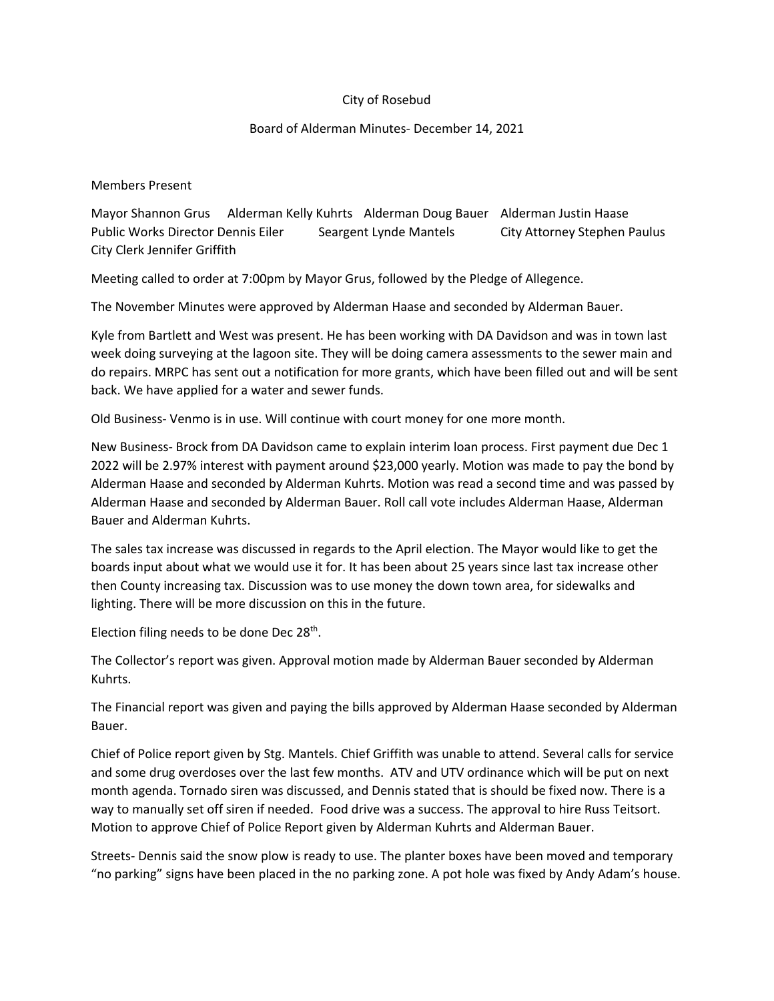## City of Rosebud

## Board of Alderman Minutes- December 14, 2021

Members Present

Mayor Shannon Grus Alderman Kelly Kuhrts Alderman Doug Bauer Alderman Justin Haase Public Works Director Dennis Eiler Seargent Lynde Mantels City Attorney Stephen Paulus City Clerk Jennifer Griffith

Meeting called to order at 7:00pm by Mayor Grus, followed by the Pledge of Allegence.

The November Minutes were approved by Alderman Haase and seconded by Alderman Bauer.

Kyle from Bartlett and West was present. He has been working with DA Davidson and was in town last week doing surveying at the lagoon site. They will be doing camera assessments to the sewer main and do repairs. MRPC has sent out a notification for more grants, which have been filled out and will be sent back. We have applied for a water and sewer funds.

Old Business- Venmo is in use. Will continue with court money for one more month.

New Business- Brock from DA Davidson came to explain interim loan process. First payment due Dec 1 2022 will be 2.97% interest with payment around \$23,000 yearly. Motion was made to pay the bond by Alderman Haase and seconded by Alderman Kuhrts. Motion was read a second time and was passed by Alderman Haase and seconded by Alderman Bauer. Roll call vote includes Alderman Haase, Alderman Bauer and Alderman Kuhrts.

The sales tax increase was discussed in regards to the April election. The Mayor would like to get the boards input about what we would use it for. It has been about 25 years since last tax increase other then County increasing tax. Discussion was to use money the down town area, for sidewalks and lighting. There will be more discussion on this in the future.

Election filing needs to be done Dec  $28<sup>th</sup>$ .

The Collector's report was given. Approval motion made by Alderman Bauer seconded by Alderman Kuhrts.

The Financial report was given and paying the bills approved by Alderman Haase seconded by Alderman Bauer.

Chief of Police report given by Stg. Mantels. Chief Griffith was unable to attend. Several calls for service and some drug overdoses over the last few months. ATV and UTV ordinance which will be put on next month agenda. Tornado siren was discussed, and Dennis stated that is should be fixed now. There is a way to manually set off siren if needed. Food drive was a success. The approval to hire Russ Teitsort. Motion to approve Chief of Police Report given by Alderman Kuhrts and Alderman Bauer.

Streets- Dennis said the snow plow is ready to use. The planter boxes have been moved and temporary "no parking" signs have been placed in the no parking zone. A pot hole was fixed by Andy Adam's house.